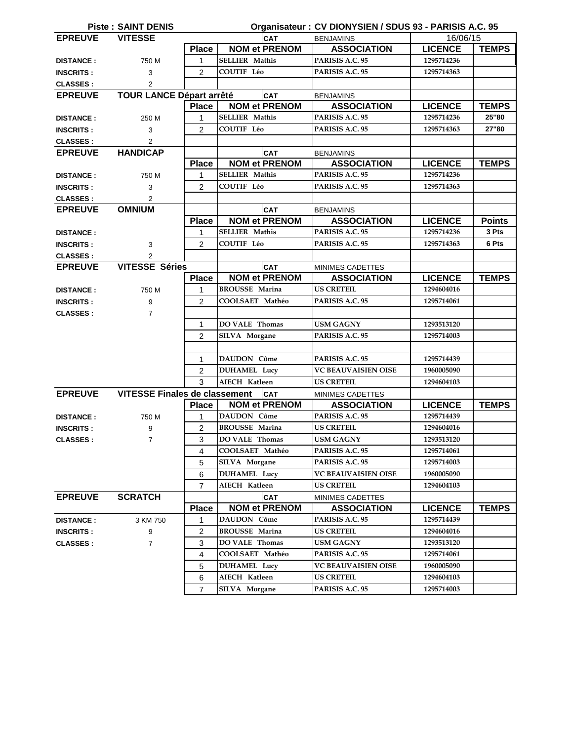|                                         | <b>Piste: SAINT DENIS</b>            |                |                                    | Organisateur: CV DIONYSIEN / SDUS 93 - PARISIS A.C. 95 |                |               |
|-----------------------------------------|--------------------------------------|----------------|------------------------------------|--------------------------------------------------------|----------------|---------------|
| <b>EPREUVE</b>                          | <b>VITESSE</b>                       |                | <b>CAT</b>                         | <b>BENJAMINS</b>                                       | 16/06/15       |               |
|                                         |                                      | <b>Place</b>   | <b>NOM et PRENOM</b>               | <b>ASSOCIATION</b>                                     | <b>LICENCE</b> | <b>TEMPS</b>  |
| <b>DISTANCE:</b>                        | 750 M                                | $\mathbf{1}$   | <b>SELLIER Mathis</b>              | PARISIS A.C. 95                                        | 1295714236     |               |
| <b>INSCRITS:</b>                        | 3                                    | 2              | COUTIF Léo                         | PARISIS A.C. 95                                        | 1295714363     |               |
| <b>CLASSES:</b>                         | $\overline{2}$                       |                |                                    |                                                        |                |               |
| <b>EPREUVE</b>                          | <b>TOUR LANCE Départ arrêté</b>      |                | <b>CAT</b>                         | <b>BENJAMINS</b>                                       |                |               |
|                                         |                                      | <b>Place</b>   | <b>NOM et PRENOM</b>               | <b>ASSOCIATION</b>                                     | <b>LICENCE</b> | <b>TEMPS</b>  |
| <b>DISTANCE:</b>                        | 250 M                                | 1              | <b>SELLIER Mathis</b>              | PARISIS A.C. 95                                        | 1295714236     | 25"80         |
| <b>INSCRITS:</b>                        | 3                                    | 2              | <b>COUTIF Léo</b>                  | PARISIS A.C. 95                                        | 1295714363     | 27"80         |
| <b>CLASSES:</b>                         | $\overline{2}$                       |                |                                    |                                                        |                |               |
| <b>EPREUVE</b>                          | <b>HANDICAP</b>                      |                | <b>CAT</b>                         | <b>BENJAMINS</b>                                       |                |               |
|                                         |                                      | <b>Place</b>   | <b>NOM et PRENOM</b>               | <b>ASSOCIATION</b>                                     | <b>LICENCE</b> | <b>TEMPS</b>  |
| <b>DISTANCE:</b>                        | 750 M                                | 1              | <b>SELLIER Mathis</b>              | PARISIS A.C. 95                                        | 1295714236     |               |
| <b>INSCRITS:</b>                        | 3                                    | 2              | <b>COUTIF Léo</b>                  | PARISIS A.C. 95                                        | 1295714363     |               |
| <b>CLASSES:</b>                         | $\overline{2}$                       |                |                                    |                                                        |                |               |
| <b>EPREUVE</b>                          | <b>OMNIUM</b>                        |                | <b>CAT</b>                         | <b>BENJAMINS</b>                                       |                |               |
|                                         |                                      | <b>Place</b>   | <b>NOM et PRENOM</b>               | <b>ASSOCIATION</b>                                     | <b>LICENCE</b> | <b>Points</b> |
| <b>DISTANCE:</b>                        |                                      | 1              | <b>SELLIER Mathis</b>              | PARISIS A.C. 95                                        | 1295714236     | 3 Pts         |
| <b>INSCRITS:</b>                        | 3                                    | $\overline{2}$ | COUTIF Léo                         | PARISIS A.C. 95                                        | 1295714363     | 6 Pts         |
| <b>CLASSES:</b>                         | $\overline{2}$                       |                |                                    |                                                        |                |               |
| <b>EPREUVE</b><br><b>VITESSE Séries</b> |                                      | <b>CAT</b>     | <b>MINIMES CADETTES</b>            |                                                        |                |               |
|                                         |                                      | <b>Place</b>   | <b>NOM et PRENOM</b>               | <b>ASSOCIATION</b>                                     | <b>LICENCE</b> | <b>TEMPS</b>  |
| <b>DISTANCE:</b>                        | 750 M                                | $\mathbf{1}$   | <b>BROUSSE Marina</b>              | <b>US CRETEIL</b>                                      | 1294604016     |               |
| <b>INSCRITS:</b>                        | 9                                    | $\mathcal{P}$  | COOLSAET Mathéo                    | PARISIS A.C. 95                                        | 1295714061     |               |
| <b>CLASSES:</b>                         | $\overline{7}$                       |                |                                    |                                                        |                |               |
|                                         |                                      | $\mathbf{1}$   | DO VALE Thomas                     | USM GAGNY                                              | 1293513120     |               |
|                                         |                                      | 2              | <b>SILVA Morgane</b>               | PARISIS A.C. 95                                        | 1295714003     |               |
|                                         |                                      |                |                                    |                                                        |                |               |
|                                         |                                      | $\mathbf{1}$   | <b>DAUDON</b> Côme                 | PARISIS A.C. 95                                        | 1295714439     |               |
|                                         |                                      | 2              | <b>DUHAMEL Lucy</b>                | <b>VC BEAUVAISIEN OISE</b>                             | 1960005090     |               |
|                                         |                                      | 3              | AIECH Katleen                      | US CRETEIL                                             | 1294604103     |               |
| <b>EPREUVE</b>                          | <b>VITESSE Finales de classement</b> |                | <b>ICAT</b>                        | MINIMES CADETTES                                       |                |               |
|                                         |                                      | <b>Place</b>   | <b>NOM et PRENOM</b>               | <b>ASSOCIATION</b>                                     | <b>LICENCE</b> | <b>TEMPS</b>  |
| <b>DISTANCE:</b>                        | 750 M                                | 1              | DAUDON Côme                        | PARISIS A.C. 95                                        | 1295714439     |               |
| <b>INSCRITS:</b>                        | 9                                    | 2              | <b>BROUSSE Marina</b>              | <b>US CRETEIL</b>                                      | 1294604016     |               |
| <b>CLASSES:</b>                         | $\overline{7}$                       | 3              | DO VALE Thomas                     | <b>USM GAGNY</b>                                       | 1293513120     |               |
|                                         |                                      | 4              | COOLSAET Mathéo                    | PARISIS A.C. 95                                        | 1295714061     |               |
|                                         |                                      | 5              | SILVA Morgane                      | PARISIS A.C. 95                                        | 1295714003     |               |
|                                         |                                      | 6              | <b>DUHAMEL Lucy</b>                | <b>VC BEAUVAISIEN OISE</b>                             | 1960005090     |               |
|                                         |                                      | $\overline{7}$ | AIECH Katleen                      | <b>US CRETEIL</b>                                      | 1294604103     |               |
| <b>EPREUVE</b>                          | <b>SCRATCH</b>                       |                |                                    |                                                        |                |               |
|                                         |                                      | <b>Place</b>   | <b>CAT</b><br><b>NOM et PRENOM</b> | MINIMES CADETTES<br><b>ASSOCIATION</b>                 | <b>LICENCE</b> | <b>TEMPS</b>  |
| <b>DISTANCE:</b>                        | 3 KM 750                             |                | DAUDON Côme                        | PARISIS A.C. 95                                        | 1295714439     |               |
|                                         |                                      | 1<br>2         | <b>BROUSSE Marina</b>              | <b>US CRETEIL</b>                                      | 1294604016     |               |
| <b>INSCRITS:</b>                        | 9                                    | 3              | DO VALE Thomas                     | <b>USM GAGNY</b>                                       | 1293513120     |               |
| <b>CLASSES:</b>                         | $\overline{7}$                       |                |                                    |                                                        |                |               |
|                                         |                                      | $\overline{4}$ | COOLSAET Mathéo                    | PARISIS A.C. 95                                        | 1295714061     |               |
|                                         |                                      | 5              | <b>DUHAMEL Lucy</b>                | <b>VC BEAUVAISIEN OISE</b>                             | 1960005090     |               |
|                                         |                                      | 6              | AIECH Katleen                      | <b>US CRETEIL</b>                                      | 1294604103     |               |
|                                         |                                      | 7              | SILVA Morgane                      | PARISIS A.C. 95                                        | 1295714003     |               |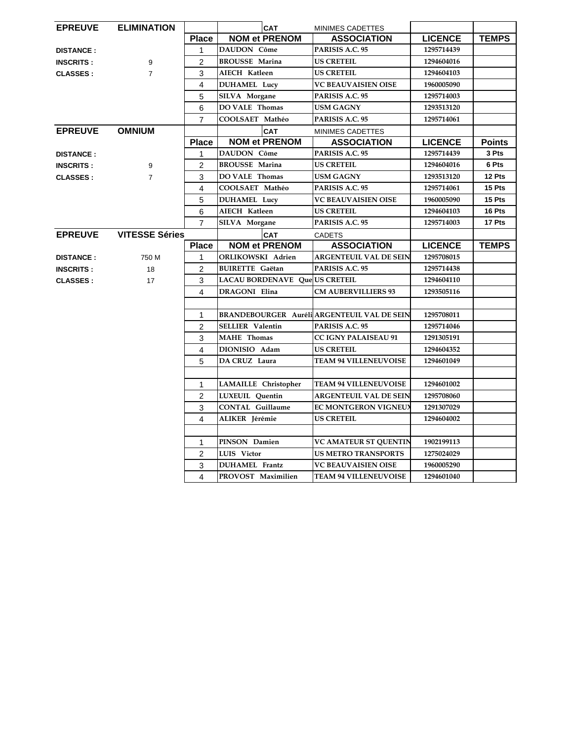| <b>EPREUVE</b>   | <b>ELIMINATION</b>    |                         | <b>CAT</b>                     | MINIMES CADETTES                            |                |               |
|------------------|-----------------------|-------------------------|--------------------------------|---------------------------------------------|----------------|---------------|
|                  |                       | <b>Place</b>            | <b>NOM et PRENOM</b>           | <b>ASSOCIATION</b>                          | <b>LICENCE</b> | <b>TEMPS</b>  |
| <b>DISTANCE:</b> |                       | 1                       | DAUDON Côme                    | PARISIS A.C. 95                             | 1295714439     |               |
| <b>INSCRITS:</b> | 9                     | 2                       | <b>BROUSSE Marina</b>          | US CRETEIL                                  | 1294604016     |               |
| <b>CLASSES:</b>  | $\overline{7}$        | 3                       | AIECH Katleen                  | <b>US CRETEIL</b>                           | 1294604103     |               |
|                  |                       | 4                       | <b>DUHAMEL Lucy</b>            | VC BEAUVAISIEN OISE                         | 1960005090     |               |
|                  |                       | 5                       | SILVA Morgane                  | PARISIS A.C. 95                             | 1295714003     |               |
|                  |                       | 6                       | DO VALE Thomas                 | USM GAGNY                                   | 1293513120     |               |
|                  |                       | $\overline{7}$          | COOLSAET Mathéo                | PARISIS A.C. 95                             | 1295714061     |               |
| <b>EPREUVE</b>   | <b>OMNIUM</b>         |                         | <b>CAT</b>                     | MINIMES CADETTES                            |                |               |
|                  |                       | <b>Place</b>            | <b>NOM et PRENOM</b>           | <b>ASSOCIATION</b>                          | <b>LICENCE</b> | <b>Points</b> |
| <b>DISTANCE:</b> |                       | 1                       | DAUDON Côme                    | PARISIS A.C. 95                             | 1295714439     | 3 Pts         |
| <b>INSCRITS:</b> | 9                     | 2                       | <b>BROUSSE Marina</b>          | <b>US CRETEIL</b>                           | 1294604016     | 6 Pts         |
| <b>CLASSES:</b>  | $\overline{7}$        | 3                       | DO VALE Thomas                 | USM GAGNY                                   | 1293513120     | 12 Pts        |
|                  |                       | 4                       | COOLSAET Mathéo                | PARISIS A.C. 95                             | 1295714061     | 15 Pts        |
|                  |                       | 5                       | <b>DUHAMEL Lucy</b>            | <b>VC BEAUVAISIEN OISE</b>                  | 1960005090     | 15 Pts        |
|                  |                       | 6                       | AIECH Katleen                  | <b>US CRETEIL</b>                           | 1294604103     | 16 Pts        |
|                  |                       | $\overline{7}$          | <b>SILVA Morgane</b>           | PARISIS A.C. 95                             | 1295714003     | 17 Pts        |
| <b>EPREUVE</b>   | <b>VITESSE Séries</b> |                         | <b>CAT</b>                     | <b>CADETS</b>                               |                |               |
|                  |                       | <b>Place</b>            | <b>NOM et PRENOM</b>           | <b>ASSOCIATION</b>                          | <b>LICENCE</b> | <b>TEMPS</b>  |
| <b>DISTANCE:</b> | 750 M                 | 1                       | <b>ORLIKOWSKI</b> Adrien       | <b>ARGENTEUIL VAL DE SEIN</b>               | 1295708015     |               |
| <b>INSCRITS:</b> | 18                    | $\mathcal{P}$           | <b>BUIRETTE Gaëtan</b>         | PARISIS A.C. 95                             | 1295714438     |               |
| <b>CLASSES:</b>  | 17                    | 3                       | LACAU BORDENAVE Que US CRETEIL |                                             | 1294604110     |               |
|                  |                       | $\overline{\mathbf{4}}$ | DRAGONI Elina                  | <b>CM AUBERVILLIERS 93</b>                  | 1293505116     |               |
|                  |                       |                         |                                |                                             |                |               |
|                  |                       | $\mathbf{1}$            |                                | BRANDEBOURGER Auréli ARGENTEUIL VAL DE SEIN | 1295708011     |               |
|                  |                       | $\overline{2}$          | <b>SELLIER Valentin</b>        | PARISIS A.C. 95                             | 1295714046     |               |
|                  |                       | 3                       | <b>MAHE</b> Thomas             | <b>CC IGNY PALAISEAU 91</b>                 | 1291305191     |               |
|                  |                       | 4                       | DIONISIO Adam                  | <b>US CRETEIL</b>                           | 1294604352     |               |
|                  |                       | 5                       | DA CRUZ Laura                  | <b>TEAM 94 VILLENEUVOISE</b>                | 1294601049     |               |
|                  |                       |                         |                                |                                             |                |               |
|                  |                       | $\mathbf{1}$            | <b>LAMAILLE</b> Christopher    | <b>TEAM 94 VILLENEUVOISE</b>                | 1294601002     |               |
|                  |                       | 2                       | <b>LUXEUIL</b> Ouentin         | <b>ARGENTEUIL VAL DE SEIN</b>               | 1295708060     |               |
|                  |                       | 3                       | <b>CONTAL Guillaume</b>        | EC MONTGERON VIGNEU)                        | 1291307029     |               |
|                  |                       | 4                       | ALIKER Jérémie                 | <b>US CRETEIL</b>                           | 1294604002     |               |
|                  |                       |                         |                                |                                             |                |               |
|                  |                       | $\mathbf{1}$            | PINSON Damien                  | VC AMATEUR ST QUENTIN                       | 1902199113     |               |
|                  |                       | 2                       | LUIS Victor                    | US METRO TRANSPORTS                         | 1275024029     |               |
|                  |                       | 3                       | <b>DUHAMEL</b> Frantz          | <b>VC BEAUVAISIEN OISE</b>                  | 1960005290     |               |
|                  |                       | $\overline{4}$          | PROVOST Maximilien             | <b>TEAM 94 VILLENEUVOISE</b>                | 1294601040     |               |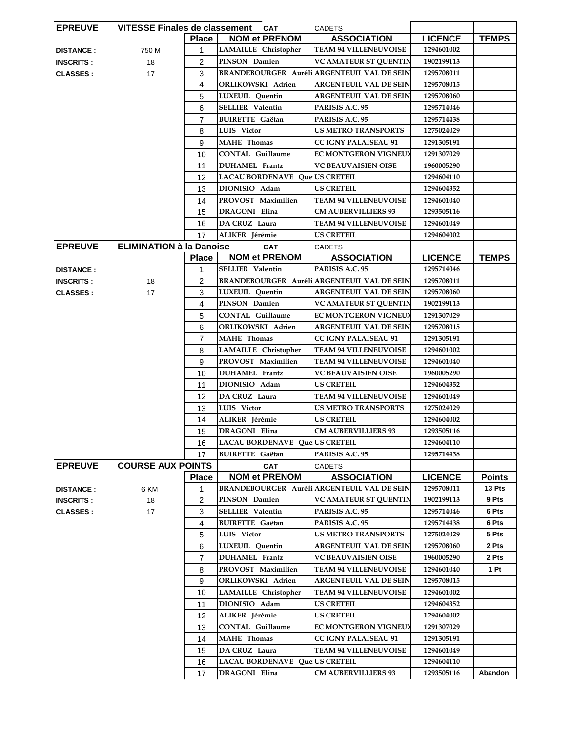| <b>EPREUVE</b>   | <b>VITESSE Finales de classement</b> |                | <b>CAT</b>                         | <b>CADETS</b>                                      |                |               |
|------------------|--------------------------------------|----------------|------------------------------------|----------------------------------------------------|----------------|---------------|
|                  |                                      | <b>Place</b>   | <b>NOM et PRENOM</b>               | <b>ASSOCIATION</b>                                 | <b>LICENCE</b> | <b>TEMPS</b>  |
| <b>DISTANCE:</b> | 750 M                                | 1              | <b>LAMAILLE</b> Christopher        | <b>TEAM 94 VILLENEUVOISE</b>                       | 1294601002     |               |
| <b>INSCRITS:</b> | 18                                   | 2              | PINSON Damien                      | <b>VC AMATEUR ST QUENTIN</b>                       | 1902199113     |               |
| <b>CLASSES</b> : | 17                                   | 3              |                                    | BRANDEBOURGER Auréli ARGENTEUIL VAL DE SEIN        | 1295708011     |               |
|                  |                                      | 4              | ORLIKOWSKI Adrien                  | ARGENTEUIL VAL DE SEIN                             | 1295708015     |               |
|                  |                                      | 5              | <b>LUXEUIL</b> Quentin             | ARGENTEUIL VAL DE SEIN                             | 1295708060     |               |
|                  |                                      | 6              | <b>SELLIER</b> Valentin            | PARISIS A.C. 95                                    | 1295714046     |               |
|                  |                                      | $\overline{7}$ | <b>BUIRETTE Gaëtan</b>             | PARISIS A.C. 95                                    | 1295714438     |               |
|                  |                                      | 8              | LUIS Victor                        | US METRO TRANSPORTS                                | 1275024029     |               |
|                  |                                      | 9              | <b>MAHE</b> Thomas                 | CC IGNY PALAISEAU 91                               | 1291305191     |               |
|                  |                                      | 10             | <b>CONTAL Guillaume</b>            | EC MONTGERON VIGNEUX                               | 1291307029     |               |
|                  |                                      | 11             | <b>DUHAMEL</b> Frantz              | VC BEAUVAISIEN OISE                                | 1960005290     |               |
|                  |                                      | 12             | LACAU BORDENAVE Que US CRETEIL     |                                                    | 1294604110     |               |
|                  |                                      | 13             | DIONISIO Adam                      | <b>US CRETEIL</b>                                  | 1294604352     |               |
|                  |                                      | 14             | PROVOST Maximilien                 | <b>TEAM 94 VILLENEUVOISE</b>                       | 1294601040     |               |
|                  |                                      | 15             | <b>DRAGONI Elina</b>               | <b>CM AUBERVILLIERS 93</b>                         | 1293505116     |               |
|                  |                                      | 16             | DA CRUZ Laura                      | <b>TEAM 94 VILLENEUVOISE</b>                       | 1294601049     |               |
|                  |                                      | 17             | ALIKER Jérémie                     | <b>US CRETEIL</b>                                  | 1294604002     |               |
| <b>EPREUVE</b>   | <b>ELIMINATION à la Danoise</b>      |                | <b>CAT</b>                         | <b>CADETS</b>                                      |                |               |
|                  |                                      | <b>Place</b>   | <b>NOM et PRENOM</b>               | <b>ASSOCIATION</b>                                 | <b>LICENCE</b> | <b>TEMPS</b>  |
| <b>DISTANCE:</b> |                                      | 1              | <b>SELLIER</b> Valentin            | PARISIS A.C. 95                                    | 1295714046     |               |
| <b>INSCRITS:</b> | 18                                   | 2              |                                    | BRANDEBOURGER Auréli ARGENTEUIL VAL DE SEIN        | 1295708011     |               |
| <b>CLASSES:</b>  | 17                                   | 3              | LUXEUIL Quentin                    | <b>ARGENTEUIL VAL DE SEIN</b>                      | 1295708060     |               |
|                  |                                      | 4              | PINSON Damien                      | VC AMATEUR ST QUENTIN                              | 1902199113     |               |
|                  |                                      | 5              | <b>CONTAL Guillaume</b>            | <b>EC MONTGERON VIGNEUX</b>                        | 1291307029     |               |
|                  |                                      | 6              | <b>ORLIKOWSKI Adrien</b>           | ARGENTEUIL VAL DE SEIN                             | 1295708015     |               |
|                  |                                      | $\overline{7}$ | MAHE Thomas                        | CC IGNY PALAISEAU 91                               | 1291305191     |               |
|                  |                                      | 8              | <b>LAMAILLE</b> Christopher        | <b>TEAM 94 VILLENEUVOISE</b>                       | 1294601002     |               |
|                  |                                      | 9              | PROVOST Maximilien                 | <b>TEAM 94 VILLENEUVOISE</b>                       | 1294601040     |               |
|                  |                                      | 10             | <b>DUHAMEL</b> Frantz              | <b>VC BEAUVAISIEN OISE</b>                         | 1960005290     |               |
|                  |                                      | 11             | DIONISIO Adam                      | <b>US CRETEIL</b>                                  | 1294604352     |               |
|                  |                                      | 12             | DA CRUZ Laura                      | <b>TEAM 94 VILLENEUVOISE</b>                       | 1294601049     |               |
|                  |                                      | 13             | LUIS Victor                        | <b>US METRO TRANSPORTS</b>                         | 1275024029     |               |
|                  |                                      | 14             | ALIKER Jérémie                     | <b>US CRETEIL</b>                                  | 1294604002     |               |
|                  |                                      | 15             | DRAGONI Elina                      | <b>CM AUBERVILLIERS 93</b>                         | 1293505116     |               |
|                  |                                      | 16             | LACAU BORDENAVE Que US CRETEIL     | PARISIS A.C. 95                                    | 1294604110     |               |
| <b>EPREUVE</b>   | <b>COURSE AUX POINTS</b>             | 17             | <b>BUIRETTE Gaëtan</b>             |                                                    | 1295714438     |               |
|                  |                                      | <b>Place</b>   | <b>CAT</b><br><b>NOM et PRENOM</b> | <b>CADETS</b><br><b>ASSOCIATION</b>                | <b>LICENCE</b> | <b>Points</b> |
| <b>DISTANCE:</b> | 6 KM                                 | 1              |                                    | <b>BRANDEBOURGER Auréli ARGENTEUIL VAL DE SEIN</b> | 1295708011     | 13 Pts        |
| <b>INSCRITS:</b> | 18                                   | 2              | PINSON Damien                      | <b>VC AMATEUR ST QUENTIN</b>                       | 1902199113     | 9 Pts         |
| <b>CLASSES:</b>  | 17                                   | 3              | <b>SELLIER Valentin</b>            | PARISIS A.C. 95                                    | 1295714046     | 6 Pts         |
|                  |                                      | 4              | <b>BUIRETTE Gaëtan</b>             | PARISIS A.C. 95                                    | 1295714438     | 6 Pts         |
|                  |                                      | 5              | LUIS Victor                        | <b>US METRO TRANSPORTS</b>                         | 1275024029     | 5 Pts         |
|                  |                                      | 6              | LUXEUIL Quentin                    | ARGENTEUIL VAL DE SEIN                             | 1295708060     | 2 Pts         |
|                  |                                      | $\overline{7}$ | <b>DUHAMEL</b> Frantz              | VC BEAUVAISIEN OISE                                | 1960005290     | 2 Pts         |
|                  |                                      | 8              | PROVOST Maximilien                 | <b>TEAM 94 VILLENEUVOISE</b>                       | 1294601040     | 1 Pt          |
|                  |                                      | 9              | ORLIKOWSKI Adrien                  | <b>ARGENTEUIL VAL DE SEIN</b>                      | 1295708015     |               |
|                  |                                      | 10             | LAMAILLE Christopher               | <b>TEAM 94 VILLENEUVOISE</b>                       | 1294601002     |               |
|                  |                                      | 11             | DIONISIO Adam                      | US CRETEIL                                         | 1294604352     |               |
|                  |                                      | 12             | ALIKER Jérémie                     | <b>US CRETEIL</b>                                  | 1294604002     |               |
|                  |                                      | 13             | <b>CONTAL Guillaume</b>            | EC MONTGERON VIGNEU)                               | 1291307029     |               |
|                  |                                      | 14             | <b>MAHE</b> Thomas                 | <b>CC IGNY PALAISEAU 91</b>                        | 1291305191     |               |
|                  |                                      | 15             | DA CRUZ Laura                      | <b>TEAM 94 VILLENEUVOISE</b>                       | 1294601049     |               |
|                  |                                      | 16             | LACAU BORDENAVE Que US CRETEIL     |                                                    | 1294604110     |               |
|                  |                                      | 17             | DRAGONI Elina                      | <b>CM AUBERVILLIERS 93</b>                         | 1293505116     | Abandon       |